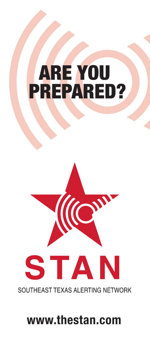# ARE YOU PREPARED?



SOUTHEAST TEXAS ALERTING NETWORK

# **www.thestan.com**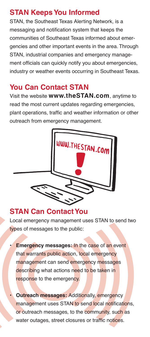# **STAN Keeps You Informed**

STAN, the Southeast Texas Alerting Network, is a messaging and notification system that keeps the communities of Southeast Texas informed about emergencies and other important events in the area. Through STAN, industrial companies and emergency management officials can quickly notify you about emergencies, industry or weather events occurring in Southeast Texas.

# **You Can Contact STAN**

Visit the website **www.theSTAN.com**, anytime to read the most current updates regarding emergencies, plant operations, traffic and weather information or other outreach from emergency management.



#### **STAN Can ContactYou**

Local emergency management uses STAN to send two types of messages to the public:

- **Emergency messages: In the case of an event** that warrants public action, local emergency management can send emergency messages describing what actions need to be taken in response to the emergency.
- **Outreach messages:** Additionally, emergency management uses STAN to send local notifications, or outreach messages, to the community, such as water outages, street closures or traffic notices.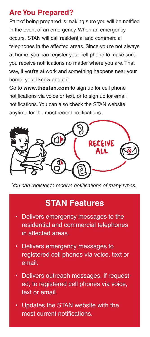# **AreYou Prepared?**

Part of being prepared is making sure you will be notified in the event of an emergency. When an emergency occurs, STAN will call residential and commercial telephones in the affected areas. Since you're not always at home, you can register your cell phone to make sure you receive notifications no matter where you are. That way, if you're at work and something happens near your home, you'll know about it.

Go to **www.thestan.com** to sign up for cell phone notifications via voice or text, or to sign up for email notifications.You can also check the STAN website anytime for the most recent notifications.



*You can register to receive notifications of many types.*

# **STAN Features**

- Delivers emergency messages to the residential and commercial telephones in affected areas.
- Delivers emergency messages to registered cell phones via voice, text or email.
- Delivers outreach messages, if requested, to registered cell phones via voice, text or email.
- Updates the STAN website with the most current notifications.